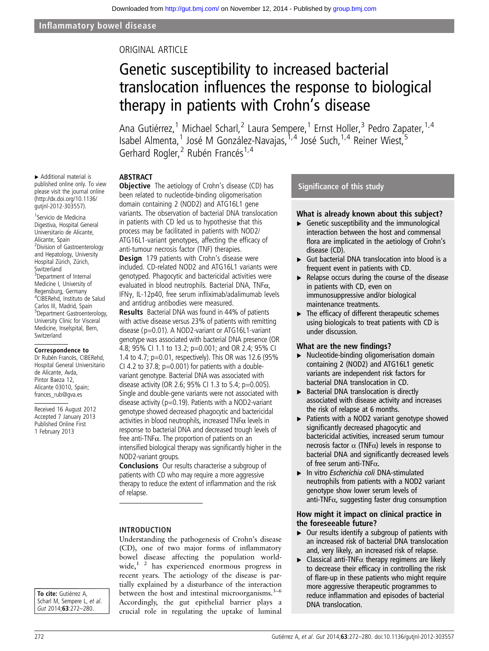# ORIGINAL ARTICLE

# Genetic susceptibility to increased bacterial translocation influences the response to biological therapy in patients with Crohn's disease

Ana Gutiérrez,<sup>1</sup> Michael Scharl,<sup>2</sup> Laura Sempere,<sup>1</sup> Ernst Holler,<sup>3</sup> Pedro Zapater,<sup>1,4</sup> Isabel Almenta,<sup>1</sup> José M González-Navajas,<sup>1,4</sup> José Such,<sup>1,4</sup> Reiner Wiest,<sup>5</sup> Gerhard Rogler,<sup>2</sup> Rubén Francés<sup>1,4</sup>

# ABSTRACT

▸ Additional material is published online only. To view please visit the journal online [\(http://dx.doi.org/10.1136/](http://dx.doi.org/10.1136/gutjnl-2012-303557) [gutjnl-2012-303557](http://dx.doi.org/10.1136/gutjnl-2012-303557)).

1 Servicio de Medicina Digestiva, Hospital General Universitario de Alicante, Alicante, Spain <sup>2</sup> Division of Gastroenterology and Hepatology, University Hospital Zürich, Zürich, Switzerland <sup>3</sup>Department of Internal Medicine I, University of Regensburg, Germany 4 CIBERehd, Instituto de Salud Carlos III, Madrid, Spain 5 Department Gastroenterology, University Clinic for Visceral Medicine, Inselspital, Bern, Switzerland

#### Correspondence to

Dr Rubén Francés, CIBERehd, Hospital General Universitario de Alicante, Avda, Pintor Baeza 12, Alicante 03010, Spain; frances\_rub@gva.es

Received 16 August 2012 Accepted 7 January 2013 Published Online First 1 February 2013

**Objective** The aetiology of Crohn's disease (CD) has been related to nucleotide-binding oligomerisation domain containing 2 (NOD2) and ATG16L1 gene variants. The observation of bacterial DNA translocation in patients with CD led us to hypothesise that this process may be facilitated in patients with NOD2/ ATG16L1-variant genotypes, affecting the efficacy of anti-tumour necrosis factor (TNF) therapies. **Design** 179 patients with Crohn's disease were included. CD-related NOD2 and ATG16L1 variants were genotyped. Phagocytic and bactericidal activities were evaluated in blood neutrophils. Bacterial DNA, TNFα,

IFNγ, IL-12p40, free serum infliximab/adalimumab levels and antidrug antibodies were measured.

Results Bacterial DNA was found in 44% of patients with active disease versus 23% of patients with remitting disease (p=0.01). A NOD2-variant or ATG16L1-variant genotype was associated with bacterial DNA presence (OR 4.8; 95% CI 1.1 to 13.2; p=0.001; and OR 2.4; 95% CI 1.4 to 4.7; p=0.01, respectively). This OR was 12.6 (95% CI 4.2 to 37.8;  $p=0.001$ ) for patients with a doublevariant genotype. Bacterial DNA was associated with disease activity (OR 2.6; 95% CI 1.3 to 5.4; p=0.005). Single and double-gene variants were not associated with disease activity ( $p=0.19$ ). Patients with a NOD2-variant genotype showed decreased phagocytic and bactericidal activities in blood neutrophils, increased TNF $\alpha$  levels in response to bacterial DNA and decreased trough levels of free anti-TNF $\alpha$ . The proportion of patients on an intensified biological therapy was significantly higher in the NOD2-variant groups.

Conclusions Our results characterise a subgroup of patients with CD who may require a more aggressive therapy to reduce the extent of inflammation and the risk of relapse.

## INTRODUCTION

Understanding the pathogenesis of Crohn's disease (CD), one of two major forms of inflammatory bowel disease affecting the population worldwide,<sup>1</sup> <sup>2</sup> has experienced enormous progress in recent years. The aetiology of the disease is partially explained by a disturbance of the interaction between the host and intestinal microorganisms. $3-6$ Accordingly, the gut epithelial barrier plays a crucial role in regulating the uptake of luminal

#### Significance of this study

#### What is already known about this subject?

- $\triangleright$  Genetic susceptibility and the immunological interaction between the host and commensal flora are implicated in the aetiology of Crohn's disease (CD).
- ▸ Gut bacterial DNA translocation into blood is a frequent event in patients with CD.
- ▸ Relapse occurs during the course of the disease in patients with CD, even on immunosuppressive and/or biological maintenance treatments.
- $\blacktriangleright$  The efficacy of different therapeutic schemes using biologicals to treat patients with CD is under discussion.

#### What are the new findings?

- ▸ Nucleotide-binding oligomerisation domain containing 2 (NOD2) and ATG16L1 genetic variants are independent risk factors for bacterial DNA translocation in CD.
- ▶ Bacterial DNA translocation is directly associated with disease activity and increases the risk of relapse at 6 months.
- ▸ Patients with a NOD2 variant genotype showed significantly decreased phagocytic and bactericidal activities, increased serum tumour necrosis factor  $\alpha$  (TNF $\alpha$ ) levels in response to bacterial DNA and significantly decreased levels of free serum anti-TNFα.
- ▸ In vitro Escherichia coli DNA-stimulated neutrophils from patients with a NOD2 variant genotype show lower serum levels of anti-TNF $\alpha$ , suggesting faster drug consumption

## How might it impact on clinical practice in the foreseeable future?

- $\triangleright$  Our results identify a subgroup of patients with an increased risk of bacterial DNA translocation and, very likely, an increased risk of relapse.
- $\blacktriangleright$  Classical anti-TNF $\alpha$  therapy regimens are likely to decrease their efficacy in controlling the risk of flare-up in these patients who might require more aggressive therapeutic programmes to reduce inflammation and episodes of bacterial DNA translocation.

To cite: Gutiérrez A, Scharl M, Sempere L, et al. Gut 2014;63:272–280.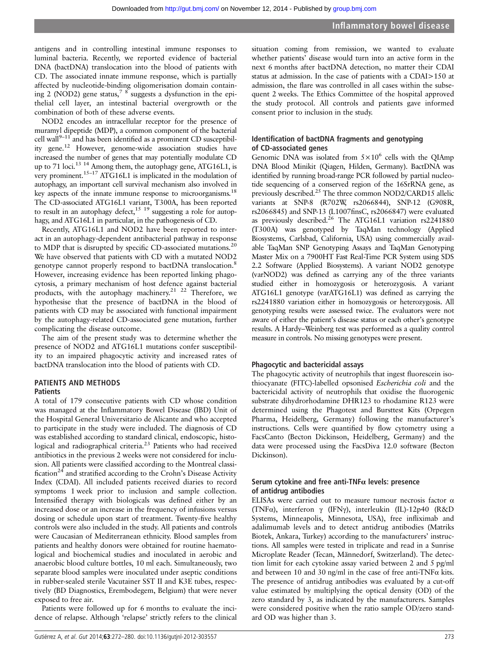antigens and in controlling intestinal immune responses to luminal bacteria. Recently, we reported evidence of bacterial DNA (bactDNA) translocation into the blood of patients with CD. The associated innate immune response, which is partially affected by nucleotide-binding oligomerisation domain containing 2 (NOD2) gene status,<sup>7 8</sup> suggests a dysfunction in the epithelial cell layer, an intestinal bacterial overgrowth or the combination of both of these adverse events.

NOD2 encodes an intracellular receptor for the presence of muramyl dipeptide (MDP), a common component of the bacterial cell wall $9-11$  and has been identified as a prominent CD susceptibility gene.<sup>12</sup> However, genome-wide association studies have increased the number of genes that may potentially modulate CD up to 71 loci.<sup>13 14</sup> Among them, the autophagy gene, ATG16L1, is very prominent.<sup>15–17</sup> ATG16L1 is implicated in the modulation of autophagy, an important cell survival mechanism also involved in key aspects of the innate immune response to microorganisms.<sup>18</sup> The CD-associated ATG16L1 variant, T300A, has been reported to result in an autophagy defect,  $15 \frac{19}{19}$  suggesting a role for autophagy, and ATG16L1 in particular, in the pathogenesis of CD.

Recently, ATG16L1 and NOD2 have been reported to interact in an autophagy-dependent antibacterial pathway in response to MDP that is disrupted by specific CD-associated mutations.<sup>20</sup> We have observed that patients with CD with a mutated NOD2 genotype cannot properly respond to bactDNA translocation.<sup>8</sup> However, increasing evidence has been reported linking phagocytosis, a primary mechanism of host defence against bacterial products, with the autophagy machinery.<sup>21 22</sup> Therefore, we hypothesise that the presence of bactDNA in the blood of patients with CD may be associated with functional impairment by the autophagy-related CD-associated gene mutation, further complicating the disease outcome.

The aim of the present study was to determine whether the presence of NOD2 and ATG16L1 mutations confer susceptibility to an impaired phagocytic activity and increased rates of bactDNA translocation into the blood of patients with CD.

# PATIENTS AND METHODS

# **Patients**

A total of 179 consecutive patients with CD whose condition was managed at the Inflammatory Bowel Disease (IBD) Unit of the Hospital General Universitario de Alicante and who accepted to participate in the study were included. The diagnosis of CD was established according to standard clinical, endoscopic, histological and radiographical criteria.<sup>23</sup> Patients who had received antibiotics in the previous 2 weeks were not considered for inclusion. All patients were classified according to the Montreal classification<sup>24</sup> and stratified according to the Crohn's Disease Activity Index (CDAI). All included patients received diaries to record symptoms 1 week prior to inclusion and sample collection. Intensified therapy with biologicals was defined either by an increased dose or an increase in the frequency of infusions versus dosing or schedule upon start of treatment. Twenty-five healthy controls were also included in the study. All patients and controls were Caucasian of Mediterranean ethnicity. Blood samples from patients and healthy donors were obtained for routine haematological and biochemical studies and inoculated in aerobic and anaerobic blood culture bottles, 10 ml each. Simultaneously, two separate blood samples were inoculated under aseptic conditions in rubber-sealed sterile Vacutainer SST II and K3E tubes, respectively (BD Diagnostics, Erembodegem, Belgium) that were never exposed to free air.

Patients were followed up for 6 months to evaluate the incidence of relapse. Although 'relapse' strictly refers to the clinical

Gutiérrez A, et al. Gut 2014;63:272-280. doi:10.1136/gutjnl-2012-303557 273

situation coming from remission, we wanted to evaluate whether patients' disease would turn into an active form in the next 6 months after bactDNA detection, no matter their CDAI status at admission. In the case of patients with a CDAI>150 at admission, the flare was controlled in all cases within the subsequent 2 weeks. The Ethics Committee of the hospital approved the study protocol. All controls and patients gave informed consent prior to inclusion in the study.

# Identification of bactDNA fragments and genotyping of CD-associated genes

Genomic DNA was isolated from  $5 \times 10^6$  cells with the QIAmp DNA Blood Minikit (Qiagen, Hilden, Germany). BactDNA was identified by running broad-range PCR followed by partial nucleotide sequencing of a conserved region of the 16SrRNA gene, as previously described.25 The three common NOD2/CARD15 allelic variants at SNP-8 (R702W, rs2066844), SNP-12 (G908R, rs2066845) and SNP-13 (L1007finsC, rs2066847) were evaluated as previously described.<sup>26</sup> The ATG16L1 variation rs2241880 (T300A) was genotyped by TaqMan technology (Applied Biosystems, Carlsbad, California, USA) using commercially available TaqMan SNP Genotyping Assays and TaqMan Genotyping Master Mix on a 7900HT Fast Real-Time PCR System using SDS 2.2 Software (Applied Biosystems). A variant NOD2 genotype (varNOD2) was defined as carrying any of the three variants studied either in homozygosis or heterozygosis. A variant ATG16L1 genotype (varATG16L1) was defined as carrying the rs2241880 variation either in homozygosis or heterozygosis. All genotyping results were assessed twice. The evaluators were not aware of either the patient's disease status or each other's genotype results. A Hardy–Weinberg test was performed as a quality control measure in controls. No missing genotypes were present.

## Phagocytic and bactericidal assays

The phagocytic activity of neutrophils that ingest fluorescein isothiocyanate (FITC)-labelled opsonised Escherichia coli and the bactericidal activity of neutrophils that oxidise the fluorogenic substrate dihydrorhodamine DHR123 to rhodamine R123 were determined using the Phagotest and Bursttest Kits (Orpegen Pharma, Heidelberg, Germany) following the manufacturer's instructions. Cells were quantified by flow cytometry using a FacsCanto (Becton Dickinson, Heidelberg, Germany) and the data were processed using the FacsDiva 12.0 software (Becton Dickinson).

#### Serum cytokine and free anti-TNF $\alpha$  levels: presence of antidrug antibodies

ELISAs were carried out to measure tumour necrosis factor  $\alpha$ (TNFα), interferon γ (IFNγ), interleukin (IL)-12p40 (R&D Systems, Minneapolis, Minnesota, USA), free infliximab and adalimumab levels and to detect antidrug antibodies (Matriks Biotek, Ankara, Turkey) according to the manufacturers' instructions. All samples were tested in triplicate and read in a Sunrise Microplate Reader (Tecan, Männedorf, Switzerland). The detection limit for each cytokine assay varied between 2 and 5 pg/ml and between 10 and 30 ng/ml in the case of free anti-TNFα kits. The presence of antidrug antibodies was evaluated by a cut-off value estimated by multiplying the optical density (OD) of the zero standard by 3, as indicated by the manufacturers. Samples were considered positive when the ratio sample OD/zero standard OD was higher than 3.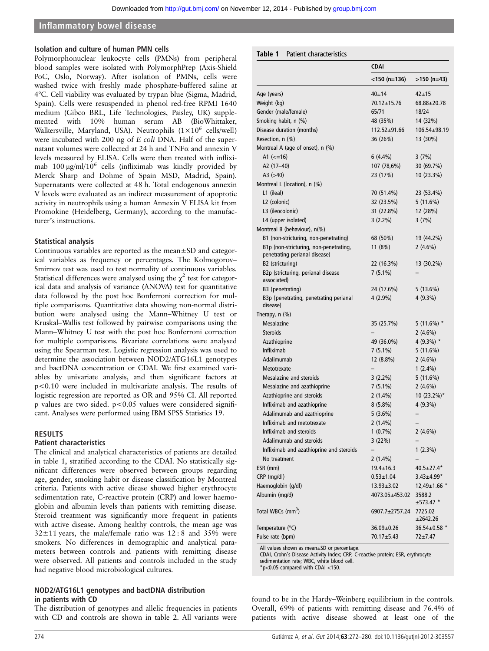#### Isolation and culture of human PMN cells

Polymorphonuclear leukocyte cells (PMNs) from peripheral blood samples were isolated with PolymorphPrep (Axis-Shield PoC, Oslo, Norway). After isolation of PMNs, cells were washed twice with freshly made phosphate-buffered saline at 4°C. Cell viability was evaluated by trypan blue (Sigma, Madrid, Spain). Cells were resuspended in phenol red-free RPMI 1640 medium (Gibco BRL, Life Technologies, Paisley, UK) supplemented with 10% human serum AB (BioWhittaker, Walkersville, Maryland, USA). Neutrophils  $(1 \times 10^6 \text{ cells/well})$ were incubated with 200 ng of E coli DNA. Half of the supernatant volumes were collected at 24 h and TNF $\alpha$  and annexin V levels measured by ELISA. Cells were then treated with infliximab  $100 \mu g/ml/10^6$  cells (infliximab was kindly provided by Merck Sharp and Dohme of Spain MSD, Madrid, Spain). Supernatants were collected at 48 h. Total endogenous annexin V levels were evaluated as an indirect measurement of apoptotic activity in neutrophils using a human Annexin V ELISA kit from Promokine (Heidelberg, Germany), according to the manufacturer's instructions.

#### Statistical analysis

Continuous variables are reported as the mean±SD and categorical variables as frequency or percentages. The Kolmogorov– Smirnov test was used to test normality of continuous variables. Statistical differences were analysed using the  $\chi^2$  test for categorical data and analysis of variance (ANOVA) test for quantitative data followed by the post hoc Bonferroni correction for multiple comparisons. Quantitative data showing non-normal distribution were analysed using the Mann–Whitney U test or Kruskal–Wallis test followed by pairwise comparisons using the Mann–Whitney U test with the post hoc Bonferroni correction for multiple comparisons. Bivariate correlations were analysed using the Spearman test. Logistic regression analysis was used to determine the association between NOD2/ATG16L1 genotypes and bactDNA concentration or CDAI. We first examined variables by univariate analysis, and then significant factors at p<0.10 were included in multivariate analysis. The results of logistic regression are reported as OR and 95% CI. All reported p values are two sided.  $p < 0.05$  values were considered significant. Analyses were performed using IBM SPSS Statistics 19.

#### RESULTS

#### Patient characteristics

The clinical and analytical characteristics of patients are detailed in table 1, stratified according to the CDAI. No statistically significant differences were observed between groups regarding age, gender, smoking habit or disease classification by Montreal criteria. Patients with active diease showed higher erythrocyte sedimentation rate, C-reactive protein (CRP) and lower haemoglobin and albumin levels than patients with remitting disease. Steroid treatment was significantly more frequent in patients with active disease. Among healthy controls, the mean age was  $32 \pm 11$  years, the male/female ratio was  $12 : 8$  and  $35\%$  were smokers. No differences in demographic and analytical parameters between controls and patients with remitting disease were observed. All patients and controls included in the study had negative blood microbiological cultures.

# NOD2/ATG16L1 genotypes and bactDNA distribution in patients with CD

The distribution of genotypes and allelic frequencies in patients with CD and controls are shown in table 2. All variants were

|                                                                         | <b>CDAI</b>              |                       |
|-------------------------------------------------------------------------|--------------------------|-----------------------|
|                                                                         | <150 (n=136)             | $>150$ (n=43)         |
| Age (years)                                                             | 40±14                    | $42 + 15$             |
| Weight (kg)                                                             | 70.12±15.76              | $68.88 + 20.78$       |
| Gender (male/female)                                                    | 65/71                    | 18/24                 |
| Smoking habit, n (%)                                                    | 48 (35%)                 | 14 (32%)              |
| Disease duration (months)                                               | $112.52 + 91.66$         | 106.54±98.19          |
| Resection, n (%)                                                        | 36 (26%)                 | 13 (30%)              |
| Montreal A (age of onset), n (%)                                        |                          |                       |
| A1 $(<=16)$                                                             | $6(4.4\%)$               | 3(7%)                 |
| A2 (17-40)                                                              | 107 (78,6%)              | 30 (69.7%)            |
| A3 $(>40)$                                                              | 23 (17%)                 | 10 (23.3%)            |
| Montreal L (location), n (%)                                            |                          |                       |
| L1 (ileal)                                                              | 70 (51.4%)               | 23 (53.4%)            |
| L2 (colonic)                                                            | 32 (23.5%)               | 5(11.6%)              |
| L3 (ileocolonic)                                                        | 31 (22.8%)               | 12 (28%)              |
| L4 (upper isolated)                                                     | $3(2.2\%)$               | 3(7%)                 |
| Montreal B (behaviour), n(%)                                            |                          |                       |
| B1 (non-stricturing, non-penetrating)                                   | 68 (50%)                 | 19 (44.2%)            |
| B1p (non-stricturing, non-penetrating,<br>penetrating perianal disease) | 11(8%)                   | $2(4.6\%)$            |
| B2 (stricturing)                                                        | 22 (16.3%)               | 13 (30.2%)            |
| B2p (stricturing, perianal disease<br>associated)                       | 7 (5.1%)                 |                       |
| B3 (penetrating)                                                        | 24 (17.6%)               | 5(13.6%)              |
| B3p (penetrating, penetrating perianal<br>disease)                      | $4(2.9\%)$               | $4(9.3\%)$            |
| Therapy, n (%)                                                          |                          |                       |
| Mesalazine                                                              | 35 (25.7%)               | $5(11.6\%)$ *         |
| <b>Steroids</b>                                                         |                          | $2(4.6\%)$            |
| Azathioprine                                                            | 49 (36.0%)               | 4 $(9.3\%)$ *         |
| <b>Infliximab</b>                                                       | $7(5.1\%)$               | 5(11.6%)              |
| Adalimumab                                                              | 12 (8.8%)                | $2(4.6\%)$            |
| Metotrexate                                                             |                          | $1(2.4\%)$            |
| Mesalazine and steroids                                                 | $3(2.2\%)$               | 5(11.6%)              |
| Mesalazine and azathioprine                                             | $7(5.1\%)$               | $2(4.6\%)$            |
| Azathioprine and steroids                                               | $2(1.4\%)$               | 10 (23.2%)*           |
| Infliximab and azathioprine                                             | $8(5.8\%)$               | 4 (9.3%)              |
| Adalimumab and azathioprine                                             | $5(3.6\%)$               |                       |
| Infliximab and metotrexate                                              | $2(1.4\%)$               |                       |
| Infliximab and steroids                                                 | $1(0.7\%)$               | $2(4.6\%)$            |
| Adalimumab and steroids                                                 | 3(22%)                   |                       |
| Infliximab and azathioprine and steroids                                | $\overline{\phantom{0}}$ | $1(2.3\%)$            |
| No treatment                                                            | $2(1.4\%)$               |                       |
| ESR (mm)                                                                | $19.4 \pm 16.3$          | $40.5 \pm 27.4*$      |
| CRP (mg/dl)                                                             | $0.53 + 1.04$            | $3.43 \pm 4.99*$      |
| Haemoglobin (g/dl)                                                      | $13.93 \pm 3.02$         | $12,49\pm1.66$ *      |
| Albumin (mg/d)                                                          | 4073.05±453.02           | 3588.2<br>$±573.47$ * |
| Total WBCs (mm <sup>3</sup> )                                           | 6907.7±2757.24           | 7725.02<br>±2642.26   |
| Temperature (°C)                                                        | 36.09±0.26               | $36.54 \pm 0.58$ *    |
| Pulse rate (bpm)                                                        | 70.17±5.43               | 72±7.47               |

All values shown as mean±SD or percentage.

CDAI, Crohn's Disease Activity Index; CRP, C-reactive protein; ESR, erythrocyte sedimentation rate; WBC, white blood cell.

\*p<0.05 compared with CDAI <150.

found to be in the Hardy–Weinberg equilibrium in the controls. Overall, 69% of patients with remitting disease and 76.4% of patients with active disease showed at least one of the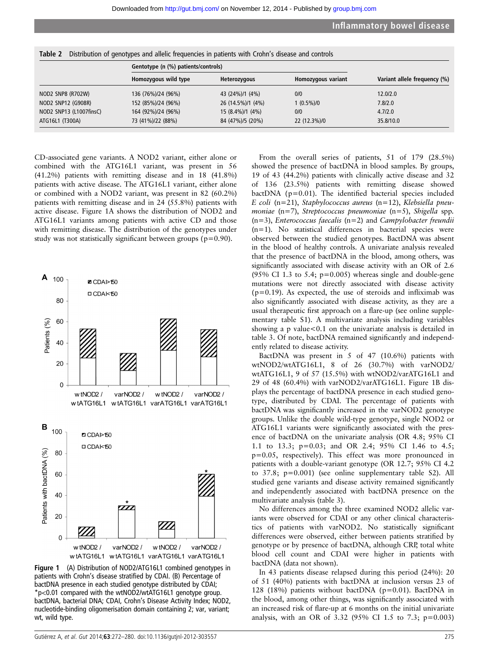| Table 2<br>Distribution of genotypes and allelic frequencies in patients with Crohn's disease and controls |                      |                   |                    |                              |
|------------------------------------------------------------------------------------------------------------|----------------------|-------------------|--------------------|------------------------------|
| Gentotype (n (%) patients/controls)                                                                        |                      |                   |                    |                              |
|                                                                                                            | Homozygous wild type | Heterozygous      | Homozygous variant | Variant allele frequency (%) |
| NOD2 SNP8 (R702W)                                                                                          | 136 (76%)/24 (96%)   | 43 (24%)/1 (4%)   | 0/0                | 12.0/2.0                     |
| NOD2 SNP12 (G908R)                                                                                         | 152 (85%)/24 (96%)   | 26 (14.5%)/1 (4%) | 1 (0.5%)/0         | 7.8/2.0                      |
| NOD2 SNP13 (L1007finsC)                                                                                    | 164 (92%)/24 (96%)   | 15 (8.4%)/1 (4%)  | 0/0                | 4.7/2.0                      |
| ATG16L1 (T300A)                                                                                            | 73 (41%)/22 (88%)    | 84 (47%)/5 (20%)  | 22 (12.3%)/0       | 35.8/10.0                    |

CD-associated gene variants. A NOD2 variant, either alone or combined with the ATG16L1 variant, was present in 56 (41.2%) patients with remitting disease and in 18 (41.8%) patients with active disease. The ATG16L1 variant, either alone or combined with a NOD2 variant, was present in 82 (60.2%) patients with remitting disease and in 24 (55.8%) patients with active disease. Figure 1A shows the distribution of NOD2 and ATG16L1 variants among patients with active CD and those with remitting disease. The distribution of the genotypes under study was not statistically significant between groups ( $p=0.90$ ).



Figure 1 (A) Distribution of NOD2/ATG16L1 combined genotypes in patients with Crohn's disease stratified by CDAI. (B) Percentage of bactDNA presence in each studied genotype distributed by CDAI; \*p<0.01 compared with the wtNOD2/wtATG16L1 genotype group. bactDNA, bacterial DNA; CDAI, Crohn's Disease Activity Index; NOD2, nucleotide-binding oligomerisation domain containing 2; var, variant; wt, wild type.

From the overall series of patients, 51 of 179 (28.5%) showed the presence of bactDNA in blood samples. By groups, 19 of 43 (44.2%) patients with clinically active disease and 32 of 136 (23.5%) patients with remitting disease showed bactDNA (p=0.01). The identified bacterial species included E coli (n=21), Staphylococcus aureus (n=12), Klebsiella pneumoniae  $(n=7)$ , Streptococcus pneumoniae  $(n=5)$ , Shigella spp.  $(n=3)$ , Enterococcus faecalis  $(n=2)$  and Campylobacter freundii (n=1). No statistical differences in bacterial species were observed between the studied genotypes. BactDNA was absent in the blood of healthy controls. A univariate analysis revealed that the presence of bactDNA in the blood, among others, was significantly associated with disease activity with an OR of 2.6 (95% CI 1.3 to 5.4;  $p=0.005$ ) whereas single and double-gene mutations were not directly associated with disease activity  $(p=0.19)$ . As expected, the use of steroids and infliximab was also significantly associated with disease activity, as they are a usual therapeutic first approach on a flare-up (see online supplementary table S1). A multivariate analysis including variables showing a p value $< 0.1$  on the univariate analysis is detailed in table 3. Of note, bactDNA remained significantly and independently related to disease activity.

BactDNA was present in 5 of 47 (10.6%) patients with wtNOD2/wtATG16L1, 8 of 26 (30.7%) with varNOD2/ wtATG16L1, 9 of 57 (15.5%) with wtNOD2/varATG16L1 and 29 of 48 (60.4%) with varNOD2/varATG16L1. Figure 1B displays the percentage of bactDNA presence in each studied genotype, distributed by CDAI. The percentage of patients with bactDNA was significantly increased in the varNOD2 genotype groups. Unlike the double wild-type genotype, single NOD2 or ATG16L1 variants were significantly associated with the presence of bactDNA on the univariate analysis (OR 4.8; 95% CI 1.1 to 13.3; p=0.03; and OR 2.4; 95% CI 1.46 to 4.5; p=0.05, respectively). This effect was more pronounced in patients with a double-variant genotype (OR 12.7; 95% CI 4.2 to 37.8; p=0.001) (see online supplementary table S2). All studied gene variants and disease activity remained significantly and independently associated with bactDNA presence on the multivariate analysis (table 3).

No differences among the three examined NOD2 allelic variants were observed for CDAI or any other clinical characteristics of patients with varNOD2. No statistically significant differences were observed, either between patients stratified by genotype or by presence of bactDNA, although CRP, total white blood cell count and CDAI were higher in patients with bactDNA (data not shown).

In 43 patients disease relapsed during this period (24%): 20 of 51 (40%) patients with bactDNA at inclusion versus 23 of 128 (18%) patients without bactDNA (p=0.01). BactDNA in the blood, among other things, was significantly associated with an increased risk of flare-up at 6 months on the initial univariate analysis, with an OR of 3.32 (95% CI 1.5 to 7.3; p=0.003)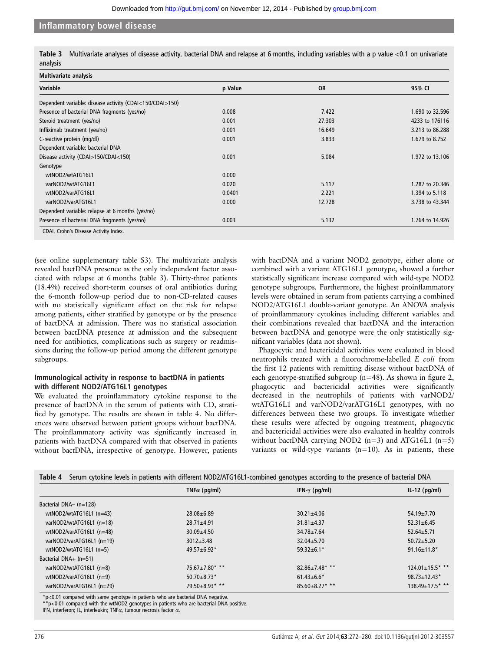|          | Table 3 Multivariate analyses of disease activity, bacterial DNA and relapse at 6 months, including variables with a p value <0.1 on univariate |  |  |
|----------|-------------------------------------------------------------------------------------------------------------------------------------------------|--|--|
| analysis |                                                                                                                                                 |  |  |

| <b>Multivariate analysis</b>                             |         |           |                 |
|----------------------------------------------------------|---------|-----------|-----------------|
| Variable                                                 | p Value | <b>OR</b> | 95% CI          |
| Dependent variable: disease activity (CDAI<150/CDAI>150) |         |           |                 |
| Presence of bacterial DNA fragments (yes/no)             | 0.008   | 7.422     | 1.690 to 32.596 |
| Steroid treatment (yes/no)                               | 0.001   | 27.303    | 4233 to 176116  |
| Infliximab treatment (yes/no)                            | 0.001   | 16.649    | 3.213 to 86.288 |
| C-reactive protein (mg/dl)                               | 0.001   | 3.833     | 1.679 to 8.752  |
| Dependent variable: bacterial DNA                        |         |           |                 |
| Disease activity (CDAI>150/CDAI<150)                     | 0.001   | 5.084     | 1.972 to 13.106 |
| Genotype                                                 |         |           |                 |
| wtNOD2/wtATG16L1                                         | 0.000   |           |                 |
| varNOD2/wtATG16L1                                        | 0.020   | 5.117     | 1.287 to 20.346 |
| wtNOD2/varATG16L1                                        | 0.0401  | 2.221     | 1.394 to 5.118  |
| varNOD2/varATG16L1                                       | 0.000   | 12.728    | 3.738 to 43.344 |
| Dependent variable: relapse at 6 months (yes/no)         |         |           |                 |
| Presence of bacterial DNA fragments (yes/no)             | 0.003   | 5.132     | 1.764 to 14.926 |
| CDAI, Crohn's Disease Activity Index.                    |         |           |                 |

(see online supplementary table S3). The multivariate analysis revealed bactDNA presence as the only independent factor associated with relapse at 6 months (table 3). Thirty-three patients (18.4%) received short-term courses of oral antibiotics during the 6-month follow-up period due to non-CD-related causes with no statistically significant effect on the risk for relapse among patients, either stratified by genotype or by the presence of bactDNA at admission. There was no statistical association between bactDNA presence at admission and the subsequent need for antibiotics, complications such as surgery or readmissions during the follow-up period among the different genotype subgroups.

# Immunological activity in response to bactDNA in patients with different NOD2/ATG16L1 genotypes

We evaluated the proinflammatory cytokine response to the presence of bactDNA in the serum of patients with CD, stratified by genotype. The results are shown in table 4. No differences were observed between patient groups without bactDNA. The proinflammatory activity was significantly increased in patients with bactDNA compared with that observed in patients without bactDNA, irrespective of genotype. However, patients

with bactDNA and a variant NOD2 genotype, either alone or combined with a variant ATG16L1 genotype, showed a further statistically significant increase compared with wild-type NOD2 genotype subgroups. Furthermore, the highest proinflammatory levels were obtained in serum from patients carrying a combined NOD2/ATG16L1 double-variant genotype. An ANOVA analysis of proinflammatory cytokines including different variables and their combinations revealed that bactDNA and the interaction between bactDNA and genotype were the only statistically significant variables (data not shown).

Phagocytic and bactericidal activities were evaluated in blood neutrophils treated with a fluorochrome-labelled E coli from the first 12 patients with remitting disease without bactDNA of each genotype-stratified subgroup (n=48). As shown in figure 2, phagocytic and bactericidal activities were significantly decreased in the neutrophils of patients with varNOD2/ wtATG16L1 and varNOD2/varATG16L1 genotypes, with no differences between these two groups. To investigate whether these results were affected by ongoing treatment, phagocytic and bactericidal activities were also evaluated in healthy controls without bactDNA carrying NOD2  $(n=3)$  and ATG16L1  $(n=5)$ variants or wild-type variants  $(n=10)$ . As in patients, these

|                           |                      | Table 4 Serum cytokine levels in patients with different NOD2/ATG16L1-combined genotypes according to the presence of bacterial DNA |                        |
|---------------------------|----------------------|-------------------------------------------------------------------------------------------------------------------------------------|------------------------|
|                           | TNF $\alpha$ (pq/ml) | IFN- $\gamma$ (pg/ml)                                                                                                               | $IL-12$ (pg/ml)        |
| Bacterial DNA- (n=128)    |                      |                                                                                                                                     |                        |
| wtNOD2/wtATG16L1 (n=43)   | $28.08 + 6.89$       | $30.21 \pm 4.06$                                                                                                                    | $54.19 \pm 7.70$       |
| varNOD2/wtATG16L1 (n=18)  | $28.71 \pm 4.91$     | $31.81 \pm 4.37$                                                                                                                    | $52.31 \pm 6.45$       |
| wtNOD2/varATG16L1 (n=48)  | $30.09 \pm 4.50$     | $34.78 \pm 7.64$                                                                                                                    | $52.64 \pm 5.71$       |
| varNOD2/varATG16L1 (n=19) | $3012 + 3.48$        | $32.04 + 5.70$                                                                                                                      | $50.72 + 5.20$         |
| wtNOD2/wtATG16L1 $(n=5)$  | 49.57±6.92*          | $59.32 \pm 6.1*$                                                                                                                    | $91.16 \pm 11.8*$      |
| Bacterial DNA+ (n=51)     |                      |                                                                                                                                     |                        |
| varNOD2/wtATG16L1 (n=8)   | 75.67±7.80* **       | $82.86 \pm 7.48$ **                                                                                                                 | $124.01 \pm 15.5$ * ** |
| wtNOD2/varATG16L1 (n=9)   | $50.70 \pm 8.73$ *   | $61.43 \pm 6.6*$                                                                                                                    | $98.73 \pm 12.43$ *    |
| varNOD2/varATG16L1 (n=29) | 79.50±8.93* **       | $85.60\pm8.27***$                                                                                                                   | 138.49±17.5* **        |

\*p<0.01 compared with same genotype in patients who are bacterial DNA negative.

 $*$ p<0.01 compared with the wtNOD2 genotypes in patients who are bacterial DNA positive.

IFN, interferon; IL, interleukin; TNFα, tumour necrosis factor α.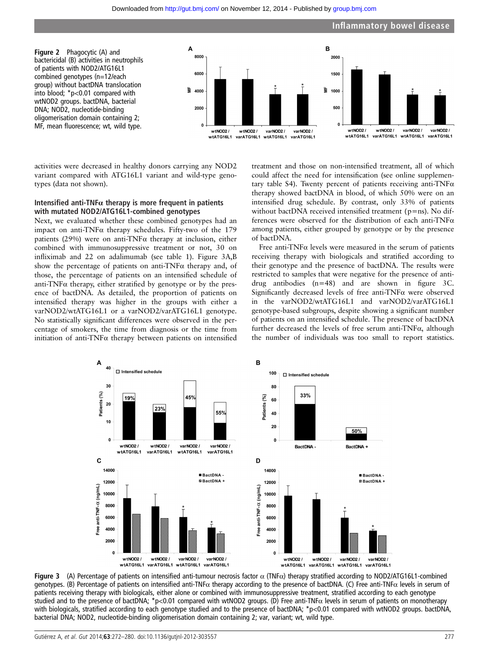#### Downloaded from<http://gut.bmj.com/>on November 12, 2014 - Published by [group.bmj.com](http://group.bmj.com)



activities were decreased in healthy donors carrying any NOD2 variant compared with ATG16L1 variant and wild-type genotypes (data not shown).

#### Intensified anti-TNF $\alpha$  therapy is more frequent in patients with mutated NOD2/ATG16L1-combined genotypes

Next, we evaluated whether these combined genotypes had an impact on anti-TNF $\alpha$  therapy schedules. Fifty-two of the 179 patients (29%) were on anti-TNFα therapy at inclusion, either combined with immunosuppressive treatment or not, 30 on infliximab and 22 on adalimumab (see table 1). Figure 3A,B show the percentage of patients on anti-TNF $\alpha$  therapy and, of those, the percentage of patients on an intensified schedule of anti-TNF $\alpha$  therapy, either stratified by genotype or by the presence of bactDNA. As detailed, the proportion of patients on intensified therapy was higher in the groups with either a varNOD2/wtATG16L1 or a varNOD2/varATG16L1 genotype. No statistically significant differences were observed in the percentage of smokers, the time from diagnosis or the time from initiation of anti-TNF $\alpha$  therapy between patients on intensified

treatment and those on non-intensified treatment, all of which could affect the need for intensification (see online supplementary table S4). Twenty percent of patients receiving anti-TNF $\alpha$ therapy showed bactDNA in blood, of which 50% were on an intensified drug schedule. By contrast, only 33% of patients without bactDNA received intensified treatment (p=ns). No differences were observed for the distribution of each anti-TNFα among patients, either grouped by genotype or by the presence of bactDNA.

Free anti-TNF $\alpha$  levels were measured in the serum of patients receiving therapy with biologicals and stratified according to their genotype and the presence of bactDNA. The results were restricted to samples that were negative for the presence of antidrug antibodies (n=48) and are shown in figure 3C. Significantly decreased levels of free anti-TNFα were observed in the varNOD2/wtATG16L1 and varNOD2/varATG16L1 genotype-based subgroups, despite showing a significant number of patients on an intensified schedule. The presence of bactDNA further decreased the levels of free serum anti-TNFα, although the number of individuals was too small to report statistics.



**Figure 3** (A) Percentage of patients on intensified anti-tumour necrosis factor  $\alpha$  (TNFα) therapy stratified according to NOD2/ATG16L1-combined genotypes. (B) Percentage of patients on intensified anti-TNF $\alpha$  therapy according to the presence of bactDNA. (C) Free anti-TNF $\alpha$  levels in serum of patients receiving therapy with biologicals, either alone or combined with immunosuppressive treatment, stratified according to each genotype studied and to the presence of bactDNA; \*p<0.01 compared with wtNOD2 groups. (D) Free anti-TNFα levels in serum of patients on monotherapy with biologicals, stratified according to each genotype studied and to the presence of bactDNA; \*p<0.01 compared with wtNOD2 groups. bactDNA, bacterial DNA; NOD2, nucleotide-binding oligomerisation domain containing 2; var, variant; wt, wild type.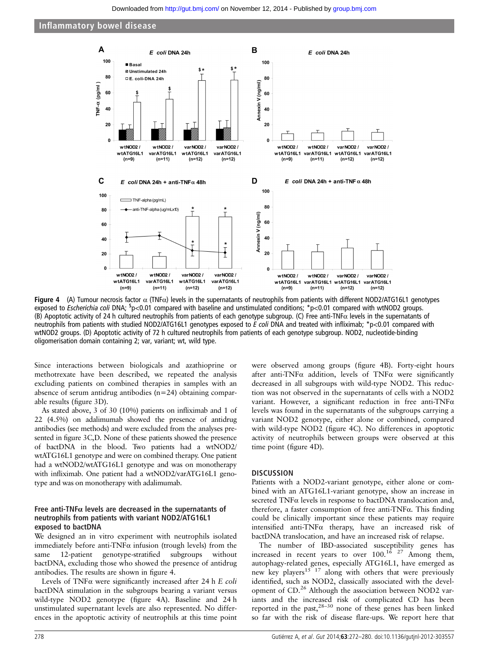

Figure 4 (A) Tumour necrosis factor  $\alpha$  (TNF $\alpha$ ) levels in the supernatants of neutrophils from patients with different NOD2/ATG16L1 genotypes exposed to Escherichia coli DNA; <sup>\$</sup>p<0.01 compared with baseline and unstimulated conditions; \*p<0.01 compared with wtNOD2 groups. (B) Apoptotic activity of 24 h cultured neutrophils from patients of each genotype subgroup. (C) Free anti-TNFα levels in the supernatants of neutrophils from patients with studied NOD2/ATG16L1 genotypes exposed to E coli DNA and treated with infliximab;  $p > 0.01$  compared with wtNOD2 groups. (D) Apoptotic activity of 72 h cultured neutrophils from patients of each genotype subgroup. NOD2, nucleotide-binding oligomerisation domain containing 2; var, variant; wt, wild type.

Since interactions between biologicals and azathioprine or methotrexate have been described, we repeated the analysis excluding patients on combined therapies in samples with an absence of serum antidrug antibodies (n=24) obtaining comparable results (figure 3D).

As stated above, 3 of 30 (10%) patients on infliximab and 1 of 22 (4.5%) on adalimumab showed the presence of antidrug antibodies (see methods) and were excluded from the analyses presented in figure 3C,D. None of these patients showed the presence of bactDNA in the blood. Two patients had a wtNOD2/ wtATG16L1 genotype and were on combined therapy. One patient had a wtNOD2/wtATG16L1 genotype and was on monotherapy with infliximab. One patient had a wtNOD2/varATG16L1 genotype and was on monotherapy with adalimumab.

#### Free anti-TNF $\alpha$  levels are decreased in the supernatants of neutrophils from patients with variant NOD2/ATG16L1 exposed to bactDNA

We designed an in vitro experiment with neutrophils isolated immediately before anti-TNF $\alpha$  infusion (trough levels) from the same 12-patient genotype-stratified subgroups without bactDNA, excluding those who showed the presence of antidrug antibodies. The results are shown in figure 4.

Levels of TNFα were significantly increased after 24 h E coli bactDNA stimulation in the subgroups bearing a variant versus wild-type NOD2 genotype (figure 4A). Baseline and 24 h unstimulated supernatant levels are also represented. No differences in the apoptotic activity of neutrophils at this time point

were observed among groups (figure 4B). Forty-eight hours after anti-TNF $\alpha$  addition, levels of TNF $\alpha$  were significantly decreased in all subgroups with wild-type NOD2. This reduction was not observed in the supernatants of cells with a NOD2 variant. However, a significant reduction in free anti-TNFα levels was found in the supernatants of the subgroups carrying a variant NOD2 genotype, either alone or combined, compared with wild-type NOD2 (figure 4C). No differences in apoptotic activity of neutrophils between groups were observed at this time point (figure 4D).

#### **DISCUSSION**

Patients with a NOD2-variant genotype, either alone or combined with an ATG16L1-variant genotype, show an increase in secreted  $TNF\alpha$  levels in response to bactDNA translocation and, therefore, a faster consumption of free anti-TNFα. This finding could be clinically important since these patients may require intensified anti-TNFα therapy, have an increased risk of bactDNA translocation, and have an increased risk of relapse.

The number of IBD-associated susceptibility genes has increased in recent years to over  $100.<sup>16</sup>$  <sup>27</sup> Among them, autophagy-related genes, especially ATG16L1, have emerged as new key players<sup>15 17</sup> along with others that were previously identified, such as NOD2, classically associated with the development of CD.<sup>26</sup> Although the association between NOD2 variants and the increased risk of complicated CD has been reported in the past,  $28-30$  none of these genes has been linked so far with the risk of disease flare-ups. We report here that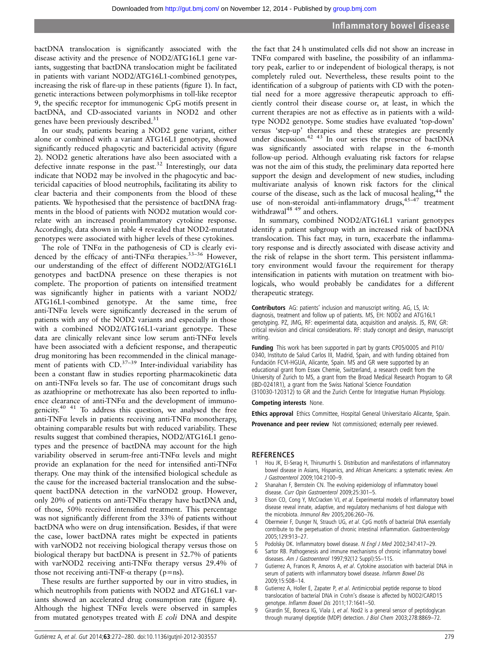bactDNA translocation is significantly associated with the disease activity and the presence of NOD2/ATG16L1 gene variants, suggesting that bactDNA translocation might be facilitated in patients with variant NOD2/ATG16L1-combined genotypes, increasing the risk of flare-up in these patients (figure 1). In fact, genetic interactions between polymorphisms in toll-like receptor 9, the specific receptor for immunogenic CpG motifs present in bactDNA, and CD-associated variants in NOD2 and other genes have been previously described.<sup>31</sup>

In our study, patients bearing a NOD2 gene variant, either alone or combined with a variant ATG16L1 genotype, showed significantly reduced phagocytic and bactericidal activity (figure 2). NOD2 genetic alterations have also been associated with a defective innate response in the past.<sup>32</sup> Interestingly, our data indicate that NOD2 may be involved in the phagocytic and bactericidal capacities of blood neutrophils, facilitating its ability to clear bacteria and their components from the blood of these patients. We hypothesised that the persistence of bactDNA fragments in the blood of patients with NOD2 mutation would correlate with an increased proinflammatory cytokine response. Accordingly, data shown in table 4 revealed that NOD2-mutated genotypes were associated with higher levels of these cytokines.

The role of  $TNF\alpha$  in the pathogenesis of CD is clearly evidenced by the efficacy of anti-TNFα therapies.33–<sup>36</sup> However, our understanding of the effect of different NOD2/ATG16L1 genotypes and bactDNA presence on these therapies is not complete. The proportion of patients on intensified treatment was significantly higher in patients with a variant NOD2/ ATG16L1-combined genotype. At the same time, free anti-TNFα levels were significantly decreased in the serum of patients with any of the NOD2 variants and especially in those with a combined NOD2/ATG16L1-variant genotype. These data are clinically relevant since low serum anti-TNFα levels have been associated with a deficient response, and therapeutic drug monitoring has been recommended in the clinical management of patients with  $CD$ <sup>37–39</sup> Inter-individual variability has been a constant flaw in studies reporting pharmacokinetic data on anti-TNFα levels so far. The use of concomitant drugs such as azathioprine or methotrexate has also been reported to influence clearance of anti-TNFα and the development of immunogenicity.40 41 To address this question, we analysed the free anti-TNF $\alpha$  levels in patients receiving anti-TNF $\alpha$  monotherapy, obtaining comparable results but with reduced variability. These results suggest that combined therapies, NOD2/ATG16L1 genotypes and the presence of bactDNA may account for the high variability observed in serum-free anti-TNFα levels and might provide an explanation for the need for intensified anti-TNFα therapy. One may think of the intensified biological schedule as the cause for the increased bacterial translocation and the subsequent bactDNA detection in the varNOD2 group. However, only 20% of patients on anti-TNF $\alpha$  therapy have bactDNA and, of those, 50% received intensified treatment. This percentage was not significantly different from the 33% of patients without bactDNA who were on drug intensification. Besides, if that were the case, lower bactDNA rates might be expected in patients with varNOD2 not receiving biological therapy versus those on biological therapy but bactDNA is present in 52.7% of patients with varNOD2 receiving anti-TNF $\alpha$  therapy versus 29.4% of those not receiving anti-TNF- $\alpha$  therapy (p=ns).

These results are further supported by our in vitro studies, in which neutrophils from patients with NOD2 and ATG16L1 variants showed an accelerated drug consumption rate (figure 4). Although the highest  $TNF\alpha$  levels were observed in samples from mutated genotypes treated with E coli DNA and despite

the fact that 24 h unstimulated cells did not show an increase in TNF $\alpha$  compared with baseline, the possibility of an inflammatory peak, earlier to or independent of biological therapy, is not completely ruled out. Nevertheless, these results point to the identification of a subgroup of patients with CD with the potential need for a more aggressive therapeutic approach to efficiently control their disease course or, at least, in which the current therapies are not as effective as in patients with a wildtype NOD2 genotype. Some studies have evaluated 'top-down' versus 'step-up' therapies and these strategies are presently under discussion.<sup>42 43</sup> In our series the presence of bactDNA was significantly associated with relapse in the 6-month follow-up period. Although evaluating risk factors for relapse was not the aim of this study, the preliminary data reported here support the design and development of new studies, including multivariate analysis of known risk factors for the clinical course of the disease, such as the lack of mucosal healing,<sup>44</sup> the use of non-steroidal anti-inflammatory drugs, $45-47$  treatment withdrawal<sup>48 49</sup> and others.

In summary, combined NOD2/ATG16L1 variant genotypes identify a patient subgroup with an increased risk of bactDNA translocation. This fact may, in turn, exacerbate the inflammatory response and is directly associated with disease activity and the risk of relapse in the short term. This persistent inflammatory environment would favour the requirement for therapy intensification in patients with mutation on treatment with biologicals, who would probably be candidates for a different therapeutic strategy.

Contributors AG: patients' inclusion and manuscript writing. AG, LS, IA: diagnosis, treatment and follow up of patients. MS, EH: NOD2 and ATG16L1 genotyping. PZ, JMG, RF: experimental data, acquisition and analysis. JS, RW, GR: critical revision and clinical considerations. RF: study concept and design, manuscript writing.

Funding This work has been supported in part by grants CP05/0005 and PI10/ 0340, Instituto de Salud Carlos III, Madrid, Spain, and with funding obtained from Fundación FCVI-HGUA, Alicante, Spain. MS and GR were supported by an educational grant from Essex Chemie, Switzerland, a research credit from the University of Zurich to MS, a grant from the Broad Medical Research Program to GR (IBD-0241R1), a grant from the Swiss National Science Foundation (310030-120312) to GR and the Zurich Centre for Integrative Human Physiology.

#### Competing interests None.

Ethics approval Ethics Committee, Hospital General Universitario Alicante, Spain.

Provenance and peer review Not commissioned; externally peer reviewed.

#### **REFERENCES**

- 1 Hou JK, El-Serag H, Thirumurthi S. Distribution and manifestations of inflammatory bowel disease in Asians, Hispanics, and African Americans: a systematic review. Am J Gastroenterol 2009;104:2100–9.
- 2 Shanahan F, Bernstein CN. The evolving epidemiology of inflammatory bowel disease. Curr Opin Gastroenterol 2009;25:301–5.
- 3 Elson CO, Cong Y, McCracken VJ, et al. Experimental models of inflammatory bowel disease reveal innate, adaptive, and regulatory mechanisms of host dialogue with the microbiota. Immunol Rev 2005;206:260–76.
- 4 Obermeier F, Dunger N, Strauch UG, et al. CpG motifs of bacterial DNA essentially contribute to the perpetuation of chronic intestinal inflammation. Gastroenterology 2005;129:913–27.
- Podolsky DK. Inflammatory bowel disease. N Engl J Med 2002;347:417-29.
- 6 Sartor RB. Pathogenesis and immune mechanisms of chronic inflammatory bowel diseases. Am J Gastroenterol 1997;92(12 Suppl):5S-11S.
- Gutierrez A, Frances R, Amoros A, et al. Cytokine association with bacterial DNA in serum of patients with inflammatory bowel disease. Inflamm Bowel Dis 2009;15:508–14.
- 8 Gutierrez A, Holler E, Zapater P, et al. Antimicrobial peptide response to blood translocation of bacterial DNA in Crohn's disease is affected by NOD2/CARD15 genotype. Inflamm Bowel Dis 2011;17:1641–50.
- 9 Girardin SE, Boneca IG, Viala J, et al. Nod2 is a general sensor of peptidoglycan through muramyl dipeptide (MDP) detection. J Biol Chem 2003;278:8869–72.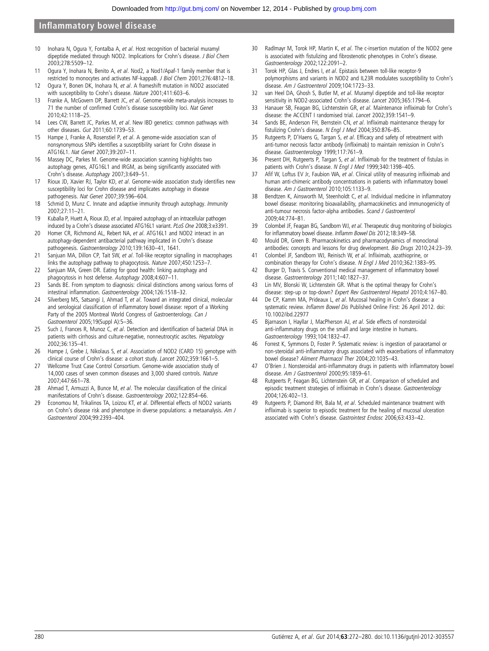- 10 Inohara N, Ogura Y, Fontalba A, et al. Host recognition of bacterial muramyl dipeptide mediated through NOD2. Implications for Crohn's disease. J Biol Chem 2003;278:5509–12.
- 11 Ogura Y, Inohara N, Benito A, et al. Nod2, a Nod1/Apaf-1 family member that is restricted to monocytes and activates NF-kappaB. J Biol Chem 2001;276:4812–18.
- 12 Ogura Y, Bonen DK, Inohara N, et al. A frameshift mutation in NOD2 associated with susceptibility to Crohn's disease. Nature 2001;411:603–6.
- 13 Franke A, McGovern DP, Barrett JC, et al. Genome-wide meta-analysis increases to 71 the number of confirmed Crohn's disease susceptibility loci. Nat Genet 2010;42:1118–25.
- 14 Lees CW, Barrett JC, Parkes M, et al. New IBD genetics: common pathways with other diseases. Gut 2011;60:1739–53.
- 15 Hampe J, Franke A, Rosenstiel P, et al. A genome-wide association scan of nonsynonymous SNPs identifies a susceptibility variant for Crohn disease in ATG16L1. Nat Genet 2007;39:207–11.
- 16 Massey DC, Parkes M. Genome-wide association scanning highlights two autophagy genes, ATG16L1 and IRGM, as being significantly associated with Crohn's disease. Autophagy 2007;3:649–51.
- 17 Rioux JD, Xavier RJ, Taylor KD, et al. Genome-wide association study identifies new susceptibility loci for Crohn disease and implicates autophagy in disease pathogenesis. Nat Genet 2007;39:596–604.
- 18 Schmid D, Munz C. Innate and adaptive immunity through autophagy. Immunity 2007;27:11–21.
- 19 Kuballa P, Huett A, Rioux JD, et al. Impaired autophagy of an intracellular pathogen induced by a Crohn's disease associated ATG16L1 variant. PLoS One 2008;3:e3391.
- 20 Homer CR, Richmond AL, Rebert NA, et al. ATG16L1 and NOD2 interact in an autophagy-dependent antibacterial pathway implicated in Crohn's disease pathogenesis. Gastroenterology 2010;139:1630–41, 1641.
- 21 Sanjuan MA, Dillon CP, Tait SW, et al. Toll-like receptor signalling in macrophages links the autophagy pathway to phagocytosis. Nature 2007;450:1253–7.
- 22 Sanjuan MA, Green DR. Eating for good health: linking autophagy and phagocytosis in host defense. Autophagy 2008;4:607–11.
- 23 Sands BE. From symptom to diagnosis: clinical distinctions among various forms of intestinal inflammation. Gastroenterology 2004;126:1518–32.
- 24 Silverberg MS, Satsangi J, Ahmad T, et al. Toward an integrated clinical, molecular and serological classification of inflammatory bowel disease: report of a Working Party of the 2005 Montreal World Congress of Gastroenterology. Can J Gastroenterol 2005;19(Suppl A):5–36.
- 25 Such J, Frances R, Munoz C, et al. Detection and identification of bacterial DNA in patients with cirrhosis and culture-negative, nonneutrocytic ascites. Hepatology 2002;36:135–41.
- 26 Hampe J, Grebe J, Nikolaus S, et al. Association of NOD2 (CARD 15) genotype with clinical course of Crohn's disease: a cohort study. Lancet 2002;359:1661–5.
- 27 Wellcome Trust Case Control Consortium. Genome-wide association study of 14,000 cases of seven common diseases and 3,000 shared controls. Nature 2007;447:661–78.
- 28 Ahmad T, Armuzzi A, Bunce M, et al. The molecular classification of the clinical manifestations of Crohn's disease. Gastroenterology 2002;122:854–66.
- 29 Economou M, Trikalinos TA, Loizou KT, et al. Differential effects of NOD2 variants on Crohn's disease risk and phenotype in diverse populations: a metaanalysis. Am J Gastroenterol 2004;99:2393–404.
- 30 Radlmayr M, Torok HP, Martin K, et al. The c-insertion mutation of the NOD2 gene is associated with fistulizing and fibrostenotic phenotypes in Crohn's disease. Gastroenterology 2002;122:2091–2.
- 31 Torok HP, Glas J, Endres I, et al. Epistasis between toll-like receptor-9 polymorphisms and variants in NOD2 and IL23R modulates susceptibility to Crohn's disease. Am J Gastroenterol 2009;104:1723–33.
- 32 van Heel DA, Ghosh S, Butler M, et al. Muramyl dipeptide and toll-like receptor sensitivity in NOD2-associated Crohn's disease. Lancet 2005;365:1794-6.
- 33 Hanauer SB, Feagan BG, Lichtenstein GR, et al. Maintenance infliximab for Crohn's disease: the ACCENT I randomised trial. Lancet 2002;359:1541–9.
- 34 Sands BE, Anderson FH, Bernstein CN, et al. Infliximab maintenance therapy for fistulizing Crohn's disease. N Engl J Med 2004;350:876–85.
- 35 Rutgeerts P, D'Haens G, Targan S, et al. Efficacy and safety of retreatment with anti-tumor necrosis factor antibody (infliximab) to maintain remission in Crohn's disease. Gastroenterology 1999;117:761–9.
- 36 Present DH, Rutgeerts P, Targan S, et al. Infliximab for the treatment of fistulas in patients with Crohn's disease. N Engl J Med 1999;340:1398-405.
- 37 Afif W, Loftus EV Jr, Faubion WA, et al. Clinical utility of measuring infliximab and human anti-chimeric antibody concentrations in patients with inflammatory bowel disease. Am J Gastroenterol 2010;105:1133-9.
- 38 Bendtzen K, Ainsworth M, Steenholdt C, et al. Individual medicine in inflammatory bowel disease: monitoring bioavailability, pharmacokinetics and immunogenicity of anti-tumour necrosis factor-alpha antibodies. Scand J Gastroenterol 2009;44:774–81.
- 39 Colombel JF, Feagan BG, Sandborn WJ, et al. Therapeutic drug monitoring of biologics for inflammatory bowel disease. Inflamm Bowel Dis 2012;18:349–58.
- 40 Mould DR, Green B. Pharmacokinetics and pharmacodynamics of monoclonal antibodies: concepts and lessons for drug development. Bio Drugs 2010;24:23–39.
- 41 Colombel JF, Sandborn WJ, Reinisch W, et al. Infliximab, azathioprine, or combination therapy for Crohn's disease. N Engl J Med 2010;362:1383-95.
- 42 Burger D, Travis S. Conventional medical management of inflammatory bowel disease. Gastroenterology 2011;140:1827–37.
- 43 Lin MV, Blonski W, Lichtenstein GR. What is the optimal therapy for Crohn's disease: step-up or top-down? Expert Rev Gastroenterol Hepatol 2010;4:167–80.
- 44 De CP, Kamm MA, Prideaux L, et al. Mucosal healing in Crohn's disease: a systematic review. Inflamm Bowel Dis Published Online First: 26 April 2012. doi: 10.1002/ibd.22977
- 45 Bjarnason I, Hayllar J, MacPherson AJ, et al. Side effects of nonsteroidal anti-inflammatory drugs on the small and large intestine in humans. Gastroenterology 1993;104:1832–47.
- 46 Forrest K, Symmons D, Foster P. Systematic review: is ingestion of paracetamol or non-steroidal anti-inflammatory drugs associated with exacerbations of inflammatory bowel disease? Aliment Pharmacol Ther 2004;20:1035–43.
- 47 O'Brien J. Nonsteroidal anti-inflammatory drugs in patients with inflammatory bowel disease. Am J Gastroenterol 2000;95:1859–61.
- 48 Rutgeerts P, Feagan BG, Lichtenstein GR, et al. Comparison of scheduled and episodic treatment strategies of infliximab in Crohn's disease. Gastroenterology 2004;126:402–13.
- 49 Rutgeerts P, Diamond RH, Bala M, et al. Scheduled maintenance treatment with infliximab is superior to episodic treatment for the healing of mucosal ulceration associated with Crohn's disease. Gastrointest Endosc 2006;63:433–42.